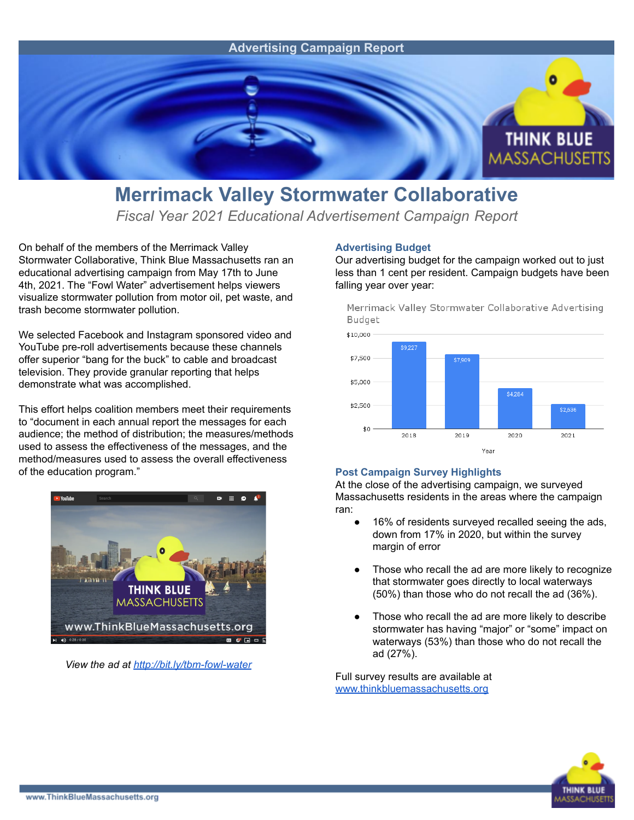

## **Merrimack Valley Stormwater Collaborative**

*Fiscal Year 2021 Educational Advertisement Campaign Report*

On behalf of the members of the Merrimack Valley Stormwater Collaborative, Think Blue Massachusetts ran an educational advertising campaign from May 17th to June 4th, 2021. The "Fowl Water" advertisement helps viewers visualize stormwater pollution from motor oil, pet waste, and trash become stormwater pollution.

We selected Facebook and Instagram sponsored video and YouTube pre-roll advertisements because these channels offer superior "bang for the buck" to cable and broadcast television. They provide granular reporting that helps demonstrate what was accomplished.

This effort helps coalition members meet their requirements to "document in each annual report the messages for each audience; the method of distribution; the measures/methods used to assess the effectiveness of the messages, and the method/measures used to assess the overall effectiveness of the education program."



*View the ad at <http://bit.ly/tbm-fowl-water>*

## **Advertising Budget**

Our advertising budget for the campaign worked out to just less than 1 cent per resident. Campaign budgets have been falling year over year:

Merrimack Valley Stormwater Collaborative Advertising Budget



## **Post Campaign Survey Highlights**

At the close of the advertising campaign, we surveyed Massachusetts residents in the areas where the campaign ran:

- 16% of residents surveyed recalled seeing the ads, down from 17% in 2020, but within the survey margin of error
- Those who recall the ad are more likely to recognize that stormwater goes directly to local waterways (50%) than those who do not recall the ad (36%).
- Those who recall the ad are more likely to describe stormwater has having "major" or "some" impact on waterways (53%) than those who do not recall the ad (27%).

Full survey results are available at [www.thinkbluemassachusetts.org](http://www.thinkbluemassachusetts.org)